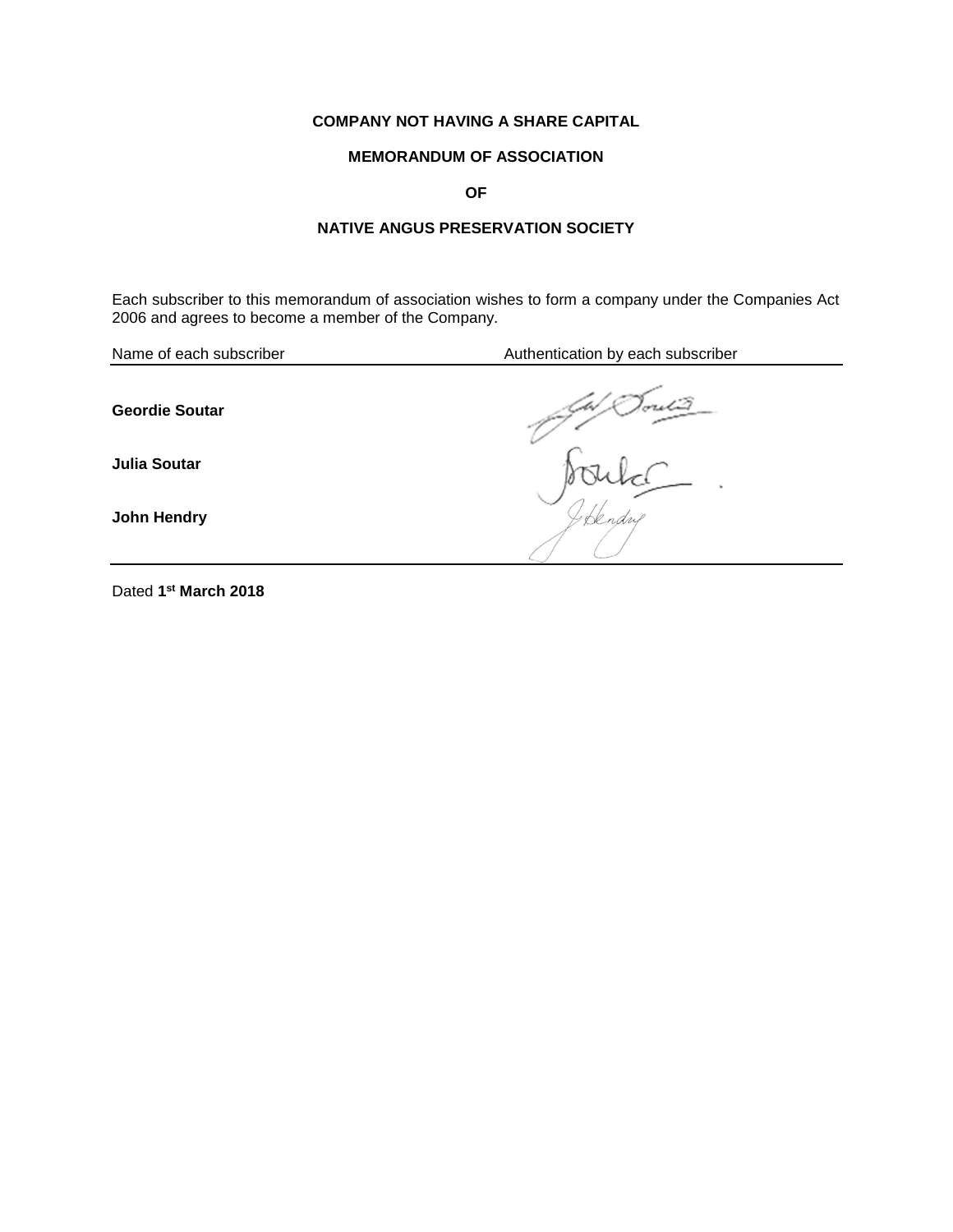## **COMPANY NOT HAVING A SHARE CAPITAL**

# **MEMORANDUM OF ASSOCIATION**

**OF**

# **NATIVE ANGUS PRESERVATION SOCIETY**

Each subscriber to this memorandum of association wishes to form a company under the Companies Act 2006 and agrees to become a member of the Company.

| Name of each subscriber | Authentication by each subscriber |
|-------------------------|-----------------------------------|
| <b>Geordie Soutar</b>   |                                   |
| <b>Julia Soutar</b>     | ٠                                 |
| John Hendry             |                                   |
|                         |                                   |

Dated **1 st March 2018**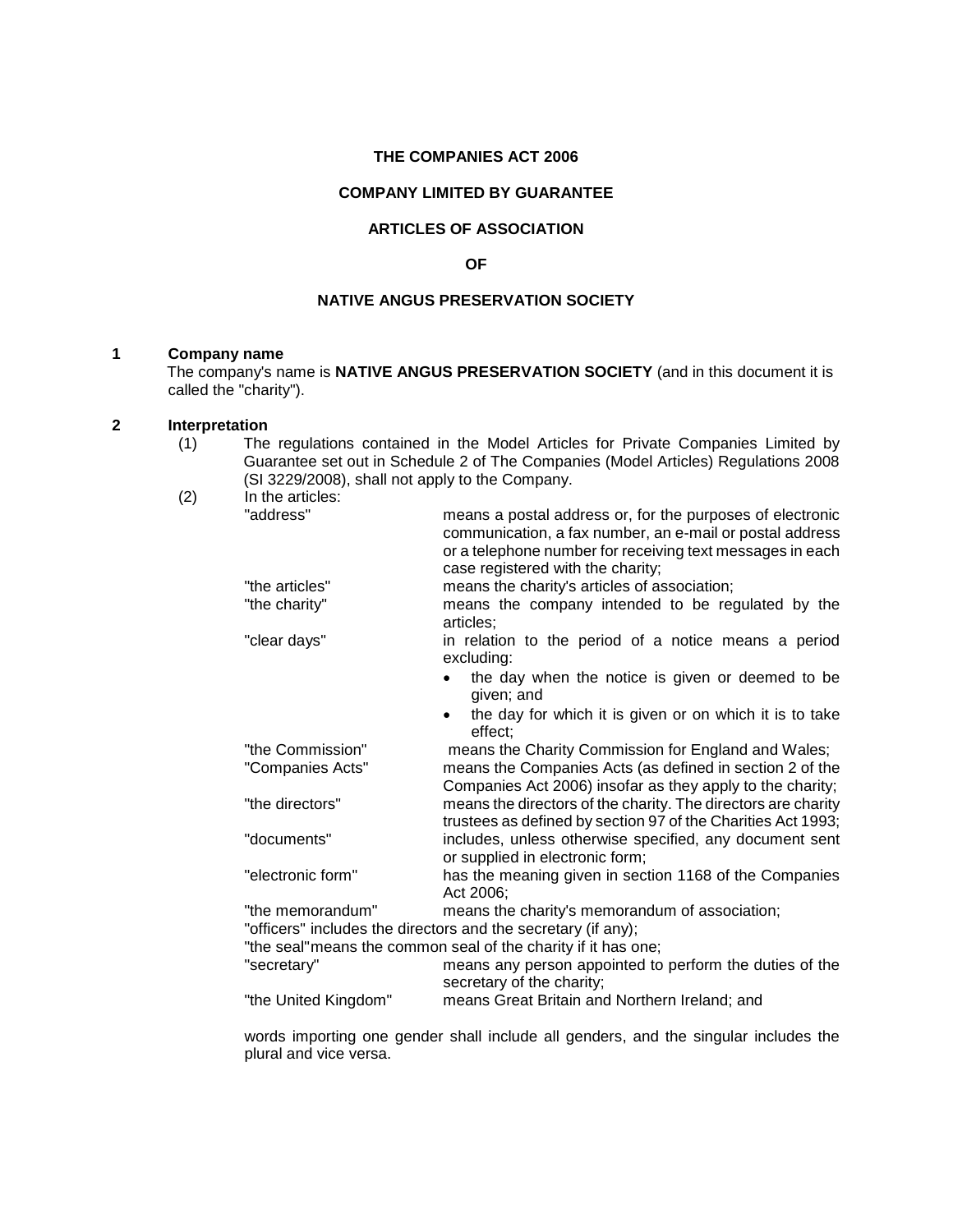#### **THE COMPANIES ACT 2006**

#### **COMPANY LIMITED BY GUARANTEE**

#### **ARTICLES OF ASSOCIATION**

#### **OF**

#### **NATIVE ANGUS PRESERVATION SOCIETY**

#### **1 Company name**

The company's name is **NATIVE ANGUS PRESERVATION SOCIETY** (and in this document it is called the "charity").

#### **2 Interpretation**

(1) The regulations contained in the Model Articles for Private Companies Limited by Guarantee set out in Schedule 2 of The Companies (Model Articles) Regulations 2008 (SI 3229/2008), shall not apply to the Company.  $(2)$ 

| In the articles:     |                                                                                                                                                                                                                         |
|----------------------|-------------------------------------------------------------------------------------------------------------------------------------------------------------------------------------------------------------------------|
| "address"            | means a postal address or, for the purposes of electronic<br>communication, a fax number, an e-mail or postal address<br>or a telephone number for receiving text messages in each<br>case registered with the charity; |
| "the articles"       | means the charity's articles of association;                                                                                                                                                                            |
| "the charity"        | means the company intended to be regulated by the<br>articles;                                                                                                                                                          |
| "clear days"         | in relation to the period of a notice means a period<br>excluding:                                                                                                                                                      |
|                      | the day when the notice is given or deemed to be<br>given; and                                                                                                                                                          |
|                      | the day for which it is given or on which it is to take<br>effect:                                                                                                                                                      |
| "the Commission"     | means the Charity Commission for England and Wales;                                                                                                                                                                     |
| "Companies Acts"     | means the Companies Acts (as defined in section 2 of the<br>Companies Act 2006) insofar as they apply to the charity;                                                                                                   |
| "the directors"      | means the directors of the charity. The directors are charity<br>trustees as defined by section 97 of the Charities Act 1993;                                                                                           |
| "documents"          | includes, unless otherwise specified, any document sent<br>or supplied in electronic form;                                                                                                                              |
| "electronic form"    | has the meaning given in section 1168 of the Companies<br>Act 2006;                                                                                                                                                     |
| "the memorandum"     | means the charity's memorandum of association;<br>"officers" includes the directors and the secretary (if any);                                                                                                         |
|                      | "the seal" means the common seal of the charity if it has one;                                                                                                                                                          |
| "secretary"          | means any person appointed to perform the duties of the<br>secretary of the charity;                                                                                                                                    |
| "the United Kingdom" | means Great Britain and Northern Ireland; and                                                                                                                                                                           |

words importing one gender shall include all genders, and the singular includes the plural and vice versa.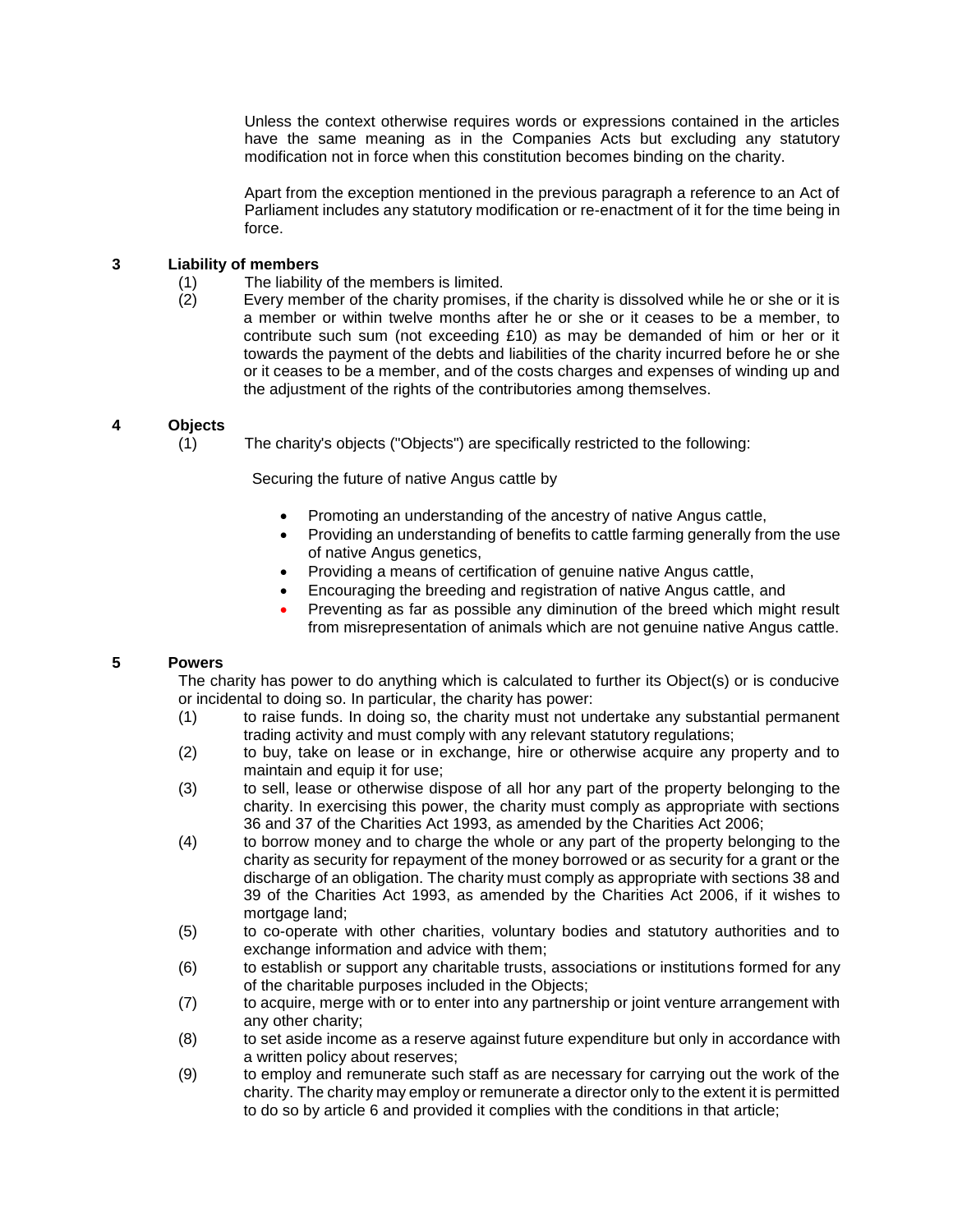Unless the context otherwise requires words or expressions contained in the articles have the same meaning as in the Companies Acts but excluding any statutory modification not in force when this constitution becomes binding on the charity.

Apart from the exception mentioned in the previous paragraph a reference to an Act of Parliament includes any statutory modification or re-enactment of it for the time being in force.

#### **3 Liability of members**

- (1) The liability of the members is limited.
- (2) Every member of the charity promises, if the charity is dissolved while he or she or it is a member or within twelve months after he or she or it ceases to be a member, to contribute such sum (not exceeding £10) as may be demanded of him or her or it towards the payment of the debts and liabilities of the charity incurred before he or she or it ceases to be a member, and of the costs charges and expenses of winding up and the adjustment of the rights of the contributories among themselves.

## **4 Objects**

(1) The charity's objects ("Objects") are specifically restricted to the following:

Securing the future of native Angus cattle by

- Promoting an understanding of the ancestry of native Angus cattle,
- Providing an understanding of benefits to cattle farming generally from the use of native Angus genetics,
- Providing a means of certification of genuine native Angus cattle,
- Encouraging the breeding and registration of native Angus cattle, and
- Preventing as far as possible any diminution of the breed which might result from misrepresentation of animals which are not genuine native Angus cattle.

## **5 Powers**

The charity has power to do anything which is calculated to further its Object(s) or is conducive or incidental to doing so. In particular, the charity has power:

- (1) to raise funds. In doing so, the charity must not undertake any substantial permanent trading activity and must comply with any relevant statutory regulations;
- (2) to buy, take on lease or in exchange, hire or otherwise acquire any property and to maintain and equip it for use;
- (3) to sell, lease or otherwise dispose of all hor any part of the property belonging to the charity. In exercising this power, the charity must comply as appropriate with sections 36 and 37 of the Charities Act 1993, as amended by the Charities Act 2006;
- (4) to borrow money and to charge the whole or any part of the property belonging to the charity as security for repayment of the money borrowed or as security for a grant or the discharge of an obligation. The charity must comply as appropriate with sections 38 and 39 of the Charities Act 1993, as amended by the Charities Act 2006, if it wishes to mortgage land;
- (5) to co-operate with other charities, voluntary bodies and statutory authorities and to exchange information and advice with them;
- (6) to establish or support any charitable trusts, associations or institutions formed for any of the charitable purposes included in the Objects;
- (7) to acquire, merge with or to enter into any partnership or joint venture arrangement with any other charity;
- (8) to set aside income as a reserve against future expenditure but only in accordance with a written policy about reserves;
- (9) to employ and remunerate such staff as are necessary for carrying out the work of the charity. The charity may employ or remunerate a director only to the extent it is permitted to do so by article 6 and provided it complies with the conditions in that article;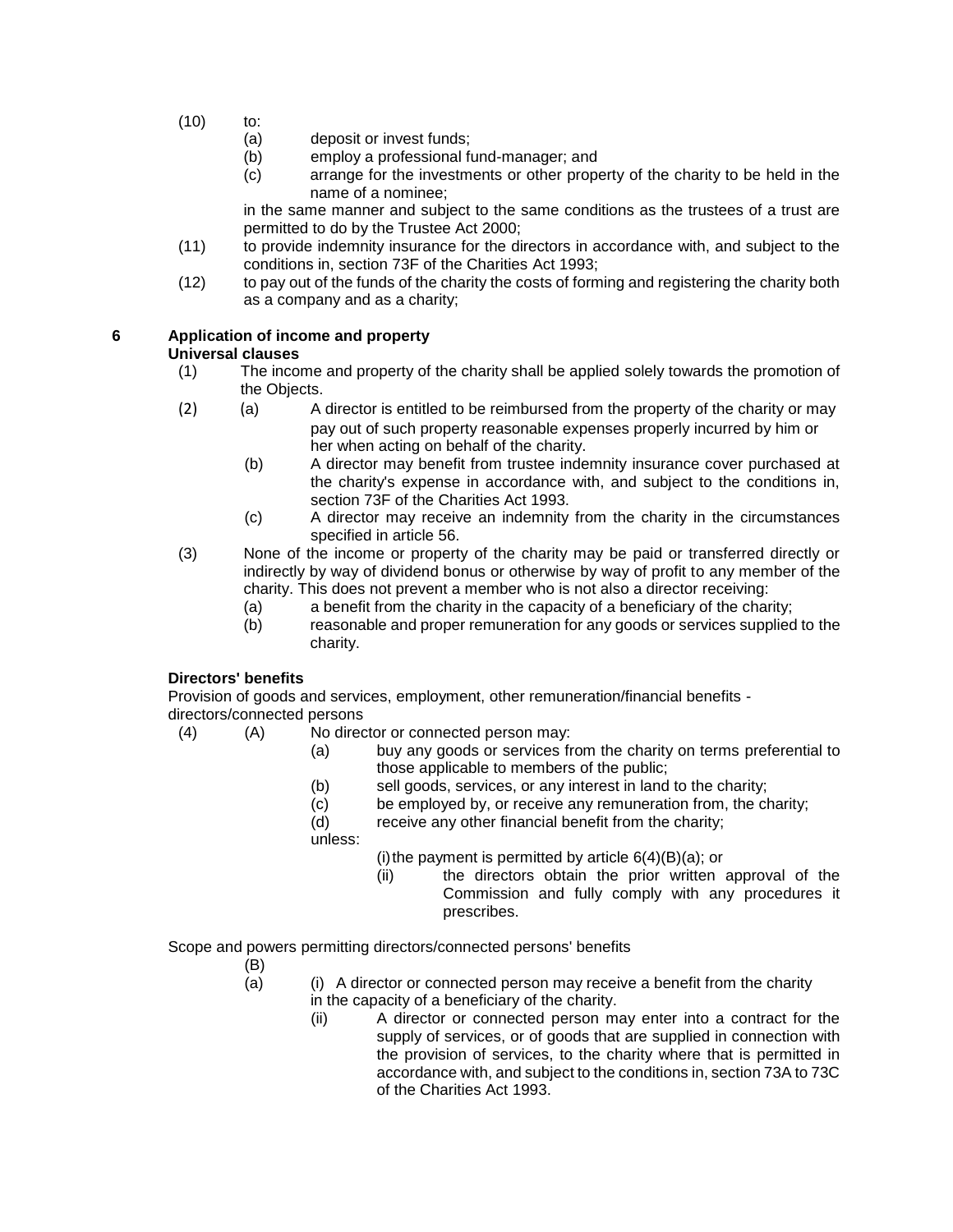- (10) to:
	- (a) deposit or invest funds;
	- (b) employ a professional fund-manager; and
	- (c) arrange for the investments or other property of the charity to be held in the name of a nominee;

in the same manner and subject to the same conditions as the trustees of a trust are permitted to do by the Trustee Act 2000;

- (11) to provide indemnity insurance for the directors in accordance with, and subject to the conditions in, section 73F of the Charities Act 1993;
- (12) to pay out of the funds of the charity the costs of forming and registering the charity both as a company and as a charity;

## **6 Application of income and property**

#### **Universal clauses**

- (1) The income and property of the charity shall be applied solely towards the promotion of the Objects.
- (2) (a) A director is entitled to be reimbursed from the property of the charity or may pay out of such property reasonable expenses properly incurred by him or her when acting on behalf of the charity.
	- (b) A director may benefit from trustee indemnity insurance cover purchased at the charity's expense in accordance with, and subject to the conditions in, section 73F of the Charities Act 1993.
	- (c) A director may receive an indemnity from the charity in the circumstances specified in article 56.
- (3) None of the income or property of the charity may be paid or transferred directly or indirectly by way of dividend bonus or otherwise by way of profit to any member of the charity. This does not prevent a member who is not also a director receiving:
	- (a) a benefit from the charity in the capacity of a beneficiary of the charity;
	- (b) reasonable and proper remuneration for any goods or services supplied to the charity.

## **Directors' benefits**

Provision of goods and services, employment, other remuneration/financial benefits directors/connected persons

- (4) (A) No director or connected person may:
	- (a) buy any goods or services from the charity on terms preferential to those applicable to members of the public;
		- (b) sell goods, services, or any interest in land to the charity;
		- (c) be employed by, or receive any remuneration from, the charity;

(d) receive any other financial benefit from the charity;

unless:

(i) the payment is permitted by article  $6(4)(B)(a)$ ; or

(ii) the directors obtain the prior written approval of the Commission and fully comply with any procedures it prescribes.

Scope and powers permitting directors/connected persons' benefits

- (B)
- (a) (i) A director or connected person may receive a benefit from the charity in the capacity of a beneficiary of the charity.
	- (ii) A director or connected person may enter into a contract for the supply of services, or of goods that are supplied in connection with the provision of services, to the charity where that is permitted in accordance with, and subject to the conditions in, section 73A to 73C of the Charities Act 1993.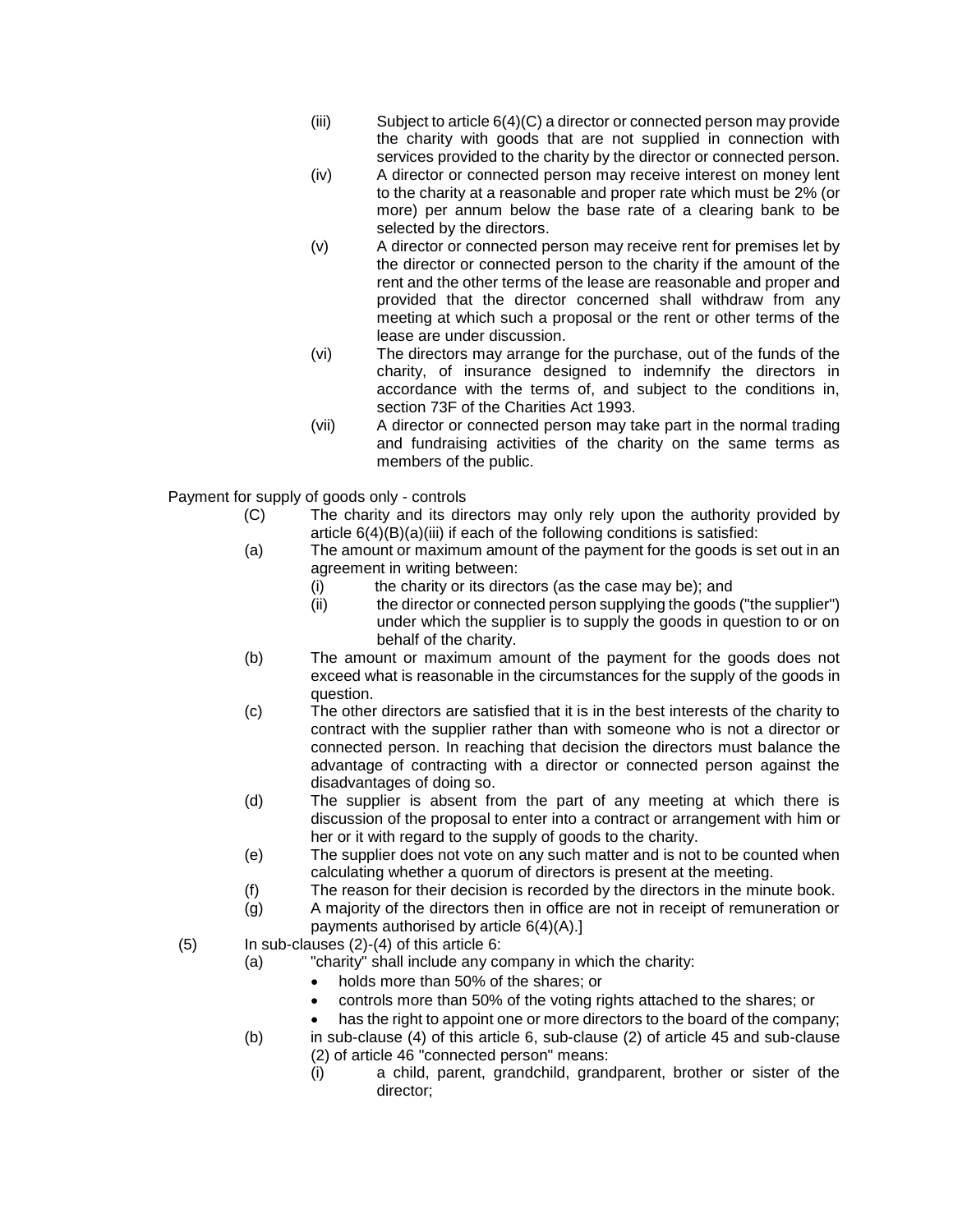- (iii) Subject to article 6(4)(C) a director or connected person may provide the charity with goods that are not supplied in connection with services provided to the charity by the director or connected person.
- (iv) A director or connected person may receive interest on money lent to the charity at a reasonable and proper rate which must be 2% (or more) per annum below the base rate of a clearing bank to be selected by the directors.
- (v) A director or connected person may receive rent for premises let by the director or connected person to the charity if the amount of the rent and the other terms of the lease are reasonable and proper and provided that the director concerned shall withdraw from any meeting at which such a proposal or the rent or other terms of the lease are under discussion.
- (vi) The directors may arrange for the purchase, out of the funds of the charity, of insurance designed to indemnify the directors in accordance with the terms of, and subject to the conditions in, section 73F of the Charities Act 1993.
- (vii) A director or connected person may take part in the normal trading and fundraising activities of the charity on the same terms as members of the public.

Payment for supply of goods only - controls

- (C) The charity and its directors may only rely upon the authority provided by article  $6(4)(B)(a)(iii)$  if each of the following conditions is satisfied:
- (a) The amount or maximum amount of the payment for the goods is set out in an agreement in writing between:
	- (i) the charity or its directors (as the case may be); and
	- (ii) the director or connected person supplying the goods ("the supplier") under which the supplier is to supply the goods in question to or on behalf of the charity.
- (b) The amount or maximum amount of the payment for the goods does not exceed what is reasonable in the circumstances for the supply of the goods in question.
- (c) The other directors are satisfied that it is in the best interests of the charity to contract with the supplier rather than with someone who is not a director or connected person. In reaching that decision the directors must balance the advantage of contracting with a director or connected person against the disadvantages of doing so.
- (d) The supplier is absent from the part of any meeting at which there is discussion of the proposal to enter into a contract or arrangement with him or her or it with regard to the supply of goods to the charity.
- (e) The supplier does not vote on any such matter and is not to be counted when calculating whether a quorum of directors is present at the meeting.
- (f) The reason for their decision is recorded by the directors in the minute book.
- (g) A majority of the directors then in office are not in receipt of remuneration or payments authorised by article 6(4)(A).]
- $(5)$  In sub-clauses  $(2)-(4)$  of this article 6:
	- (a) "charity" shall include any company in which the charity:
		- holds more than 50% of the shares; or
		- controls more than 50% of the voting rights attached to the shares; or
		- has the right to appoint one or more directors to the board of the company;
	- (b) in sub-clause (4) of this article 6, sub-clause (2) of article 45 and sub-clause (2) of article 46 "connected person" means:
		- (i) a child, parent, grandchild, grandparent, brother or sister of the director;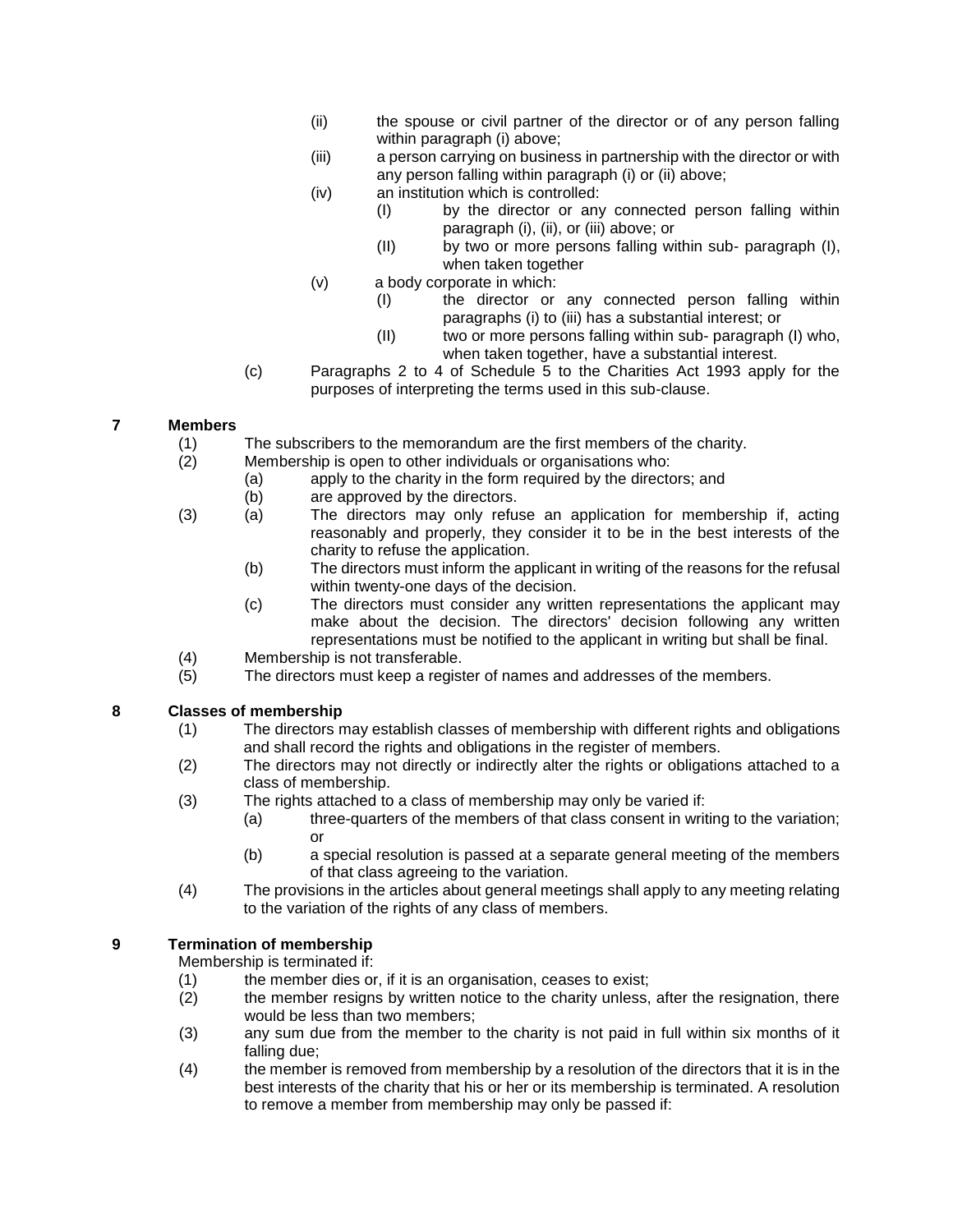- (ii) the spouse or civil partner of the director or of any person falling within paragraph (i) above:
- (iii) a person carrying on business in partnership with the director or with any person falling within paragraph (i) or (ii) above;
- (iv) an institution which is controlled:
	- (I) by the director or any connected person falling within paragraph (i), (ii), or (iii) above; or
	- (II) by two or more persons falling within sub- paragraph (I), when taken together
- (v) a body corporate in which:
	- (I) the director or any connected person falling within paragraphs (i) to (iii) has a substantial interest; or
	- (II) two or more persons falling within sub- paragraph (I) who, when taken together, have a substantial interest.
- (c) Paragraphs 2 to 4 of Schedule 5 to the Charities Act 1993 apply for the purposes of interpreting the terms used in this sub-clause.

## **7 Members**

- (1) The subscribers to the memorandum are the first members of the charity.
- (2) Membership is open to other individuals or organisations who:
	- (a) apply to the charity in the form required by the directors; and
		- (b) are approved by the directors.
- (3) (a) The directors may only refuse an application for membership if, acting reasonably and properly, they consider it to be in the best interests of the charity to refuse the application.
	- (b) The directors must inform the applicant in writing of the reasons for the refusal within twenty-one days of the decision.
	- (c) The directors must consider any written representations the applicant may make about the decision. The directors' decision following any written representations must be notified to the applicant in writing but shall be final.
- (4) Membership is not transferable.
- (5) The directors must keep a register of names and addresses of the members.

# **8 Classes of membership**

- (1) The directors may establish classes of membership with different rights and obligations and shall record the rights and obligations in the register of members.
- (2) The directors may not directly or indirectly alter the rights or obligations attached to a class of membership.
- (3) The rights attached to a class of membership may only be varied if:
	- (a) three-quarters of the members of that class consent in writing to the variation; or
	- (b) a special resolution is passed at a separate general meeting of the members of that class agreeing to the variation.
- (4) The provisions in the articles about general meetings shall apply to any meeting relating to the variation of the rights of any class of members.

# **9 Termination of membership**

Membership is terminated if:

- (1) the member dies or, if it is an organisation, ceases to exist;
- (2) the member resigns by written notice to the charity unless, after the resignation, there would be less than two members;
- (3) any sum due from the member to the charity is not paid in full within six months of it falling due;
- (4) the member is removed from membership by a resolution of the directors that it is in the best interests of the charity that his or her or its membership is terminated. A resolution to remove a member from membership may only be passed if: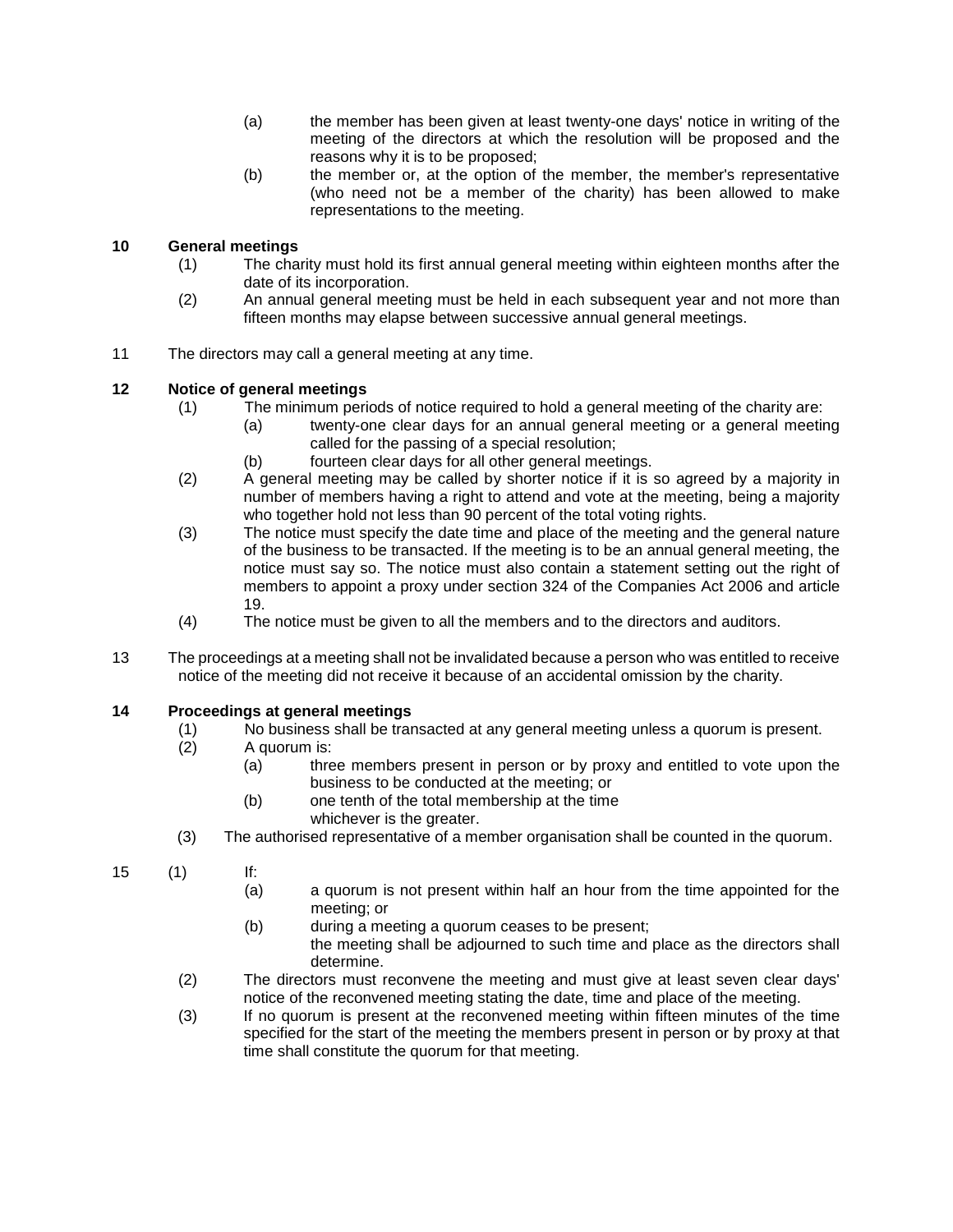- (a) the member has been given at least twenty-one days' notice in writing of the meeting of the directors at which the resolution will be proposed and the reasons why it is to be proposed;
- (b) the member or, at the option of the member, the member's representative (who need not be a member of the charity) has been allowed to make representations to the meeting.

# **10 General meetings**

- (1) The charity must hold its first annual general meeting within eighteen months after the date of its incorporation.
- (2) An annual general meeting must be held in each subsequent year and not more than fifteen months may elapse between successive annual general meetings.
- 11 The directors may call a general meeting at any time.

# **12 Notice of general meetings**

- (1) The minimum periods of notice required to hold a general meeting of the charity are:
	- (a) twenty-one clear days for an annual general meeting or a general meeting called for the passing of a special resolution;
	- (b) fourteen clear days for all other general meetings.
- (2) A general meeting may be called by shorter notice if it is so agreed by a majority in number of members having a right to attend and vote at the meeting, being a majority who together hold not less than 90 percent of the total voting rights.
- (3) The notice must specify the date time and place of the meeting and the general nature of the business to be transacted. If the meeting is to be an annual general meeting, the notice must say so. The notice must also contain a statement setting out the right of members to appoint a proxy under section 324 of the Companies Act 2006 and article 19.
- (4) The notice must be given to all the members and to the directors and auditors.
- 13 The proceedings at a meeting shall not be invalidated because a person who was entitled to receive notice of the meeting did not receive it because of an accidental omission by the charity.

## **14 Proceedings at general meetings**

- (1) No business shall be transacted at any general meeting unless a quorum is present.
- A quorum is:
	- (a) three members present in person or by proxy and entitled to vote upon the business to be conducted at the meeting; or
	- (b) one tenth of the total membership at the time whichever is the greater.
- (3) The authorised representative of a member organisation shall be counted in the quorum.
- 15 (1) If:
	- (a) a quorum is not present within half an hour from the time appointed for the meeting; or
	- (b) during a meeting a quorum ceases to be present; the meeting shall be adjourned to such time and place as the directors shall determine.
	- (2) The directors must reconvene the meeting and must give at least seven clear days' notice of the reconvened meeting stating the date, time and place of the meeting.
	- (3) If no quorum is present at the reconvened meeting within fifteen minutes of the time specified for the start of the meeting the members present in person or by proxy at that time shall constitute the quorum for that meeting.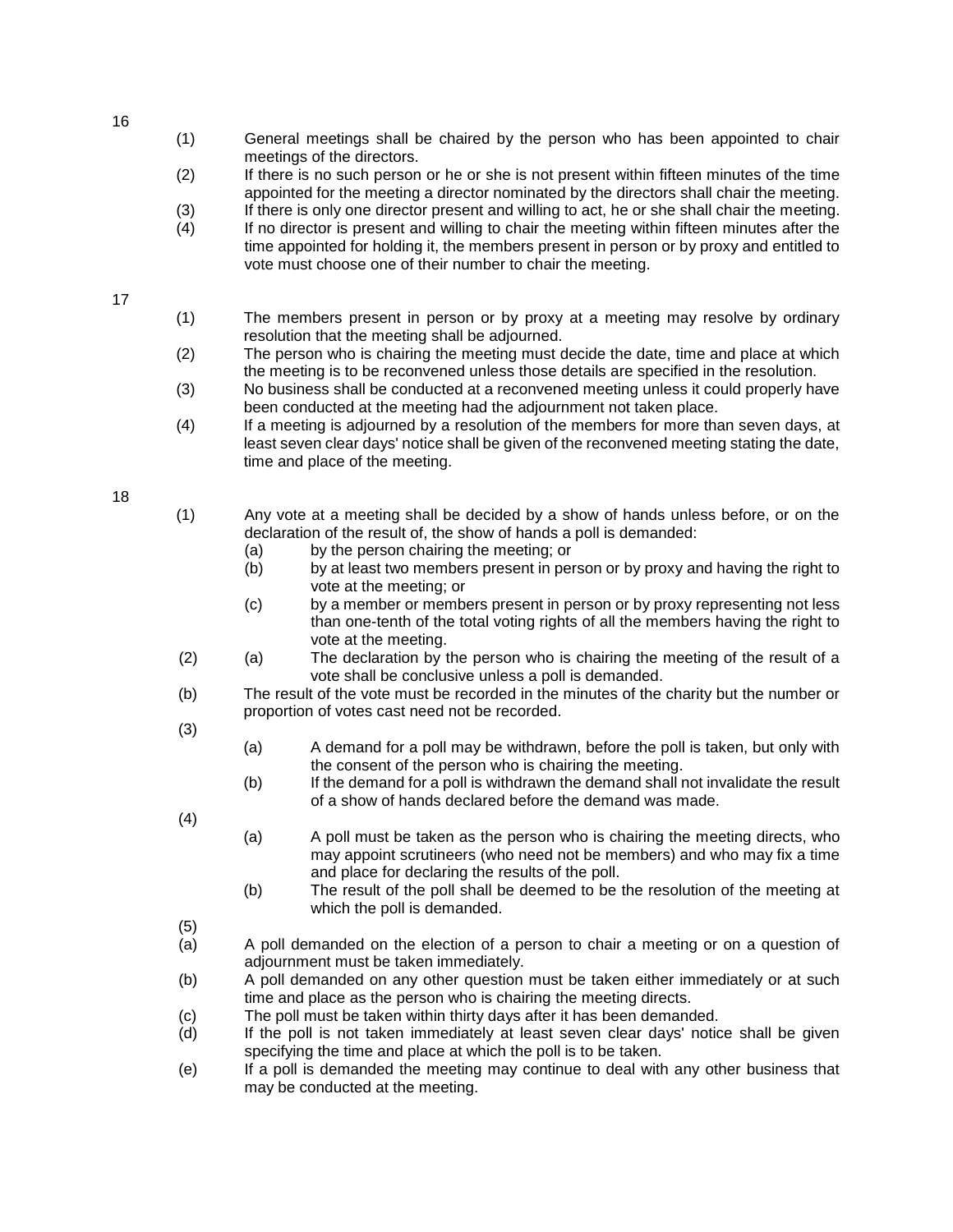- (1) General meetings shall be chaired by the person who has been appointed to chair meetings of the directors.
- (2) If there is no such person or he or she is not present within fifteen minutes of the time appointed for the meeting a director nominated by the directors shall chair the meeting.
- (3) If there is only one director present and willing to act, he or she shall chair the meeting.
- (4) If no director is present and willing to chair the meeting within fifteen minutes after the time appointed for holding it, the members present in person or by proxy and entitled to vote must choose one of their number to chair the meeting.

17

- (1) The members present in person or by proxy at a meeting may resolve by ordinary resolution that the meeting shall be adjourned.
- (2) The person who is chairing the meeting must decide the date, time and place at which the meeting is to be reconvened unless those details are specified in the resolution.
- (3) No business shall be conducted at a reconvened meeting unless it could properly have been conducted at the meeting had the adjournment not taken place.
- (4) If a meeting is adjourned by a resolution of the members for more than seven days, at least seven clear days' notice shall be given of the reconvened meeting stating the date, time and place of the meeting.

18

- (1) Any vote at a meeting shall be decided by a show of hands unless before, or on the declaration of the result of, the show of hands a poll is demanded:
	- (a) by the person chairing the meeting; or
	- (b) by at least two members present in person or by proxy and having the right to vote at the meeting; or
	- (c) by a member or members present in person or by proxy representing not less than one-tenth of the total voting rights of all the members having the right to vote at the meeting.
- (2) (a) The declaration by the person who is chairing the meeting of the result of a vote shall be conclusive unless a poll is demanded.
- (b) The result of the vote must be recorded in the minutes of the charity but the number or proportion of votes cast need not be recorded.
- (3)
- (a) A demand for a poll may be withdrawn, before the poll is taken, but only with the consent of the person who is chairing the meeting.
- (b) If the demand for a poll is withdrawn the demand shall not invalidate the result of a show of hands declared before the demand was made.
- (4)
- (a) A poll must be taken as the person who is chairing the meeting directs, who may appoint scrutineers (who need not be members) and who may fix a time and place for declaring the results of the poll.
- (b) The result of the poll shall be deemed to be the resolution of the meeting at which the poll is demanded.
- (5)
- (a) A poll demanded on the election of a person to chair a meeting or on a question of adjournment must be taken immediately.
- (b) A poll demanded on any other question must be taken either immediately or at such time and place as the person who is chairing the meeting directs.
- (c) The poll must be taken within thirty days after it has been demanded.
- (d) If the poll is not taken immediately at least seven clear days' notice shall be given specifying the time and place at which the poll is to be taken.
- (e) If a poll is demanded the meeting may continue to deal with any other business that may be conducted at the meeting.

16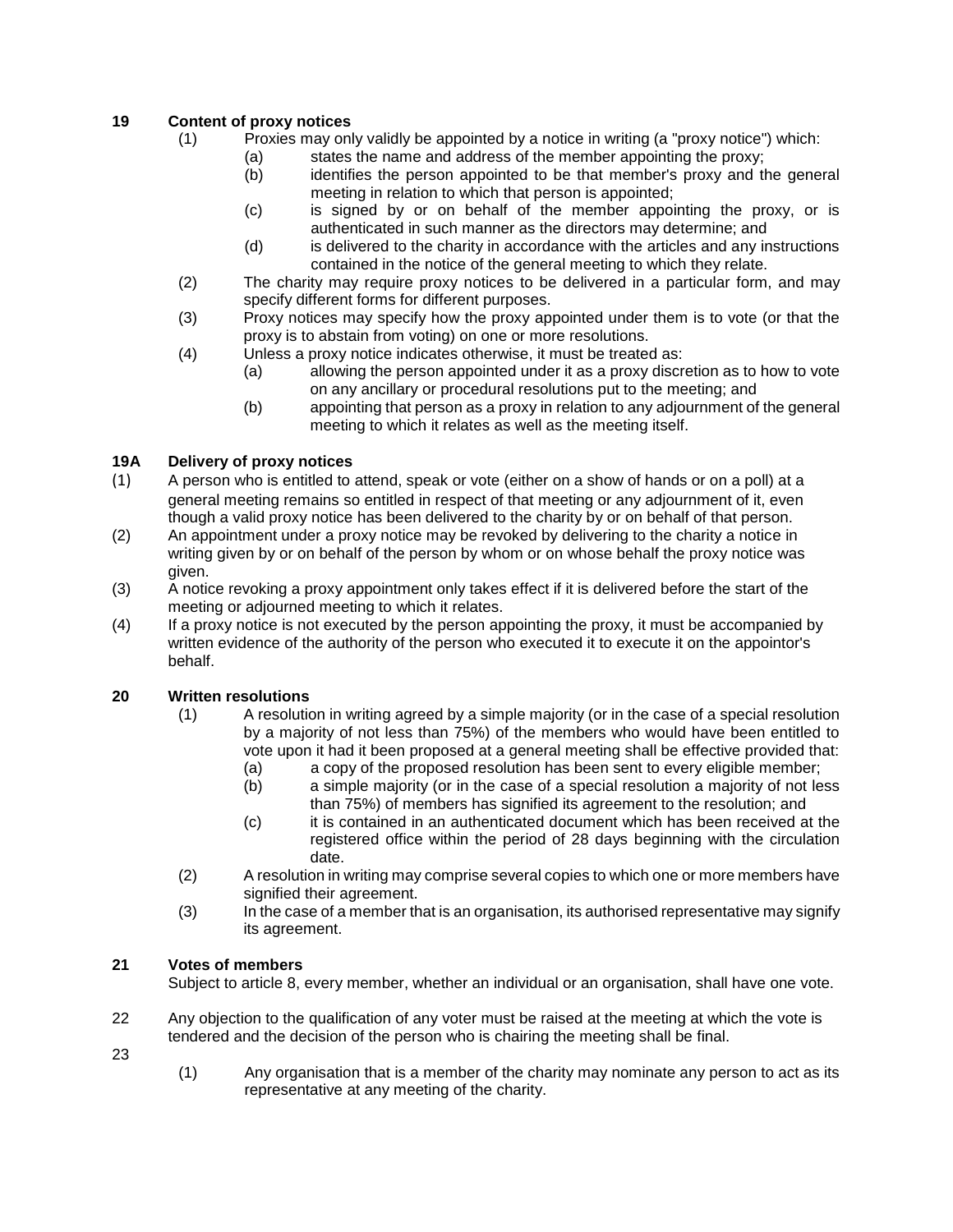## **19 Content of proxy notices**

- (1) Proxies may only validly be appointed by a notice in writing (a "proxy notice") which:
	- (a) states the name and address of the member appointing the proxy;
	- (b) identifies the person appointed to be that member's proxy and the general meeting in relation to which that person is appointed;
	- (c) is signed by or on behalf of the member appointing the proxy, or is authenticated in such manner as the directors may determine; and
	- (d) is delivered to the charity in accordance with the articles and any instructions contained in the notice of the general meeting to which they relate.
- (2) The charity may require proxy notices to be delivered in a particular form, and may specify different forms for different purposes.
- (3) Proxy notices may specify how the proxy appointed under them is to vote (or that the proxy is to abstain from voting) on one or more resolutions.
- (4) Unless a proxy notice indicates otherwise, it must be treated as:
	- (a) allowing the person appointed under it as a proxy discretion as to how to vote on any ancillary or procedural resolutions put to the meeting; and
		- (b) appointing that person as a proxy in relation to any adjournment of the general meeting to which it relates as well as the meeting itself.

# **19A Delivery of proxy notices**

- (1) A person who is entitled to attend, speak or vote (either on a show of hands or on a poll) at a general meeting remains so entitled in respect of that meeting or any adjournment of it, even though a valid proxy notice has been delivered to the charity by or on behalf of that person.
- (2) An appointment under a proxy notice may be revoked by delivering to the charity a notice in writing given by or on behalf of the person by whom or on whose behalf the proxy notice was given.
- (3) A notice revoking a proxy appointment only takes effect if it is delivered before the start of the meeting or adjourned meeting to which it relates.
- (4) If a proxy notice is not executed by the person appointing the proxy, it must be accompanied by written evidence of the authority of the person who executed it to execute it on the appointor's behalf.

## **20 Written resolutions**

- (1) A resolution in writing agreed by a simple majority (or in the case of a special resolution by a majority of not less than 75%) of the members who would have been entitled to vote upon it had it been proposed at a general meeting shall be effective provided that:
	- (a) a copy of the proposed resolution has been sent to every eligible member;
	- (b) a simple majority (or in the case of a special resolution a majority of not less than 75%) of members has signified its agreement to the resolution; and
	- (c) it is contained in an authenticated document which has been received at the registered office within the period of 28 days beginning with the circulation date.
- (2) A resolution in writing may comprise several copies to which one or more members have signified their agreement.
- (3) In the case of a member that is an organisation, its authorised representative may signify its agreement.

## **21 Votes of members**

Subject to article 8, every member, whether an individual or an organisation, shall have one vote.

22 Any objection to the qualification of any voter must be raised at the meeting at which the vote is tendered and the decision of the person who is chairing the meeting shall be final.

23

(1) Any organisation that is a member of the charity may nominate any person to act as its representative at any meeting of the charity.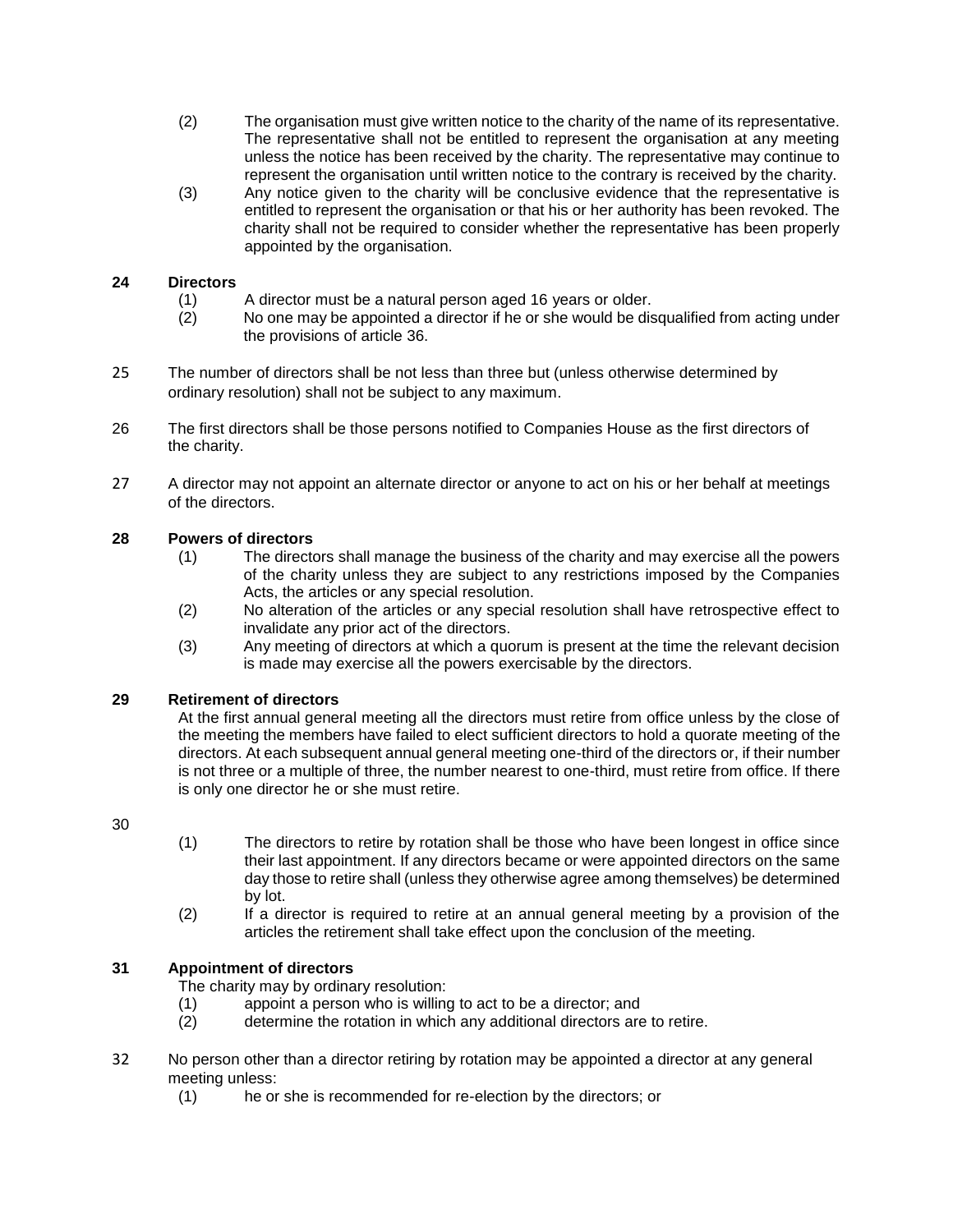- (2) The organisation must give written notice to the charity of the name of its representative. The representative shall not be entitled to represent the organisation at any meeting unless the notice has been received by the charity. The representative may continue to represent the organisation until written notice to the contrary is received by the charity.
- (3) Any notice given to the charity will be conclusive evidence that the representative is entitled to represent the organisation or that his or her authority has been revoked. The charity shall not be required to consider whether the representative has been properly appointed by the organisation.

## **24 Directors**

- (1) A director must be a natural person aged 16 years or older.<br>(2) O one may be appointed a director if he or she would be dis
- No one may be appointed a director if he or she would be disqualified from acting under the provisions of article 36.
- 25 The number of directors shall be not less than three but (unless otherwise determined by ordinary resolution) shall not be subject to any maximum.
- 26 The first directors shall be those persons notified to Companies House as the first directors of the charity.
- 27 A director may not appoint an alternate director or anyone to act on his or her behalf at meetings of the directors.

## **28 Powers of directors**

- (1) The directors shall manage the business of the charity and may exercise all the powers of the charity unless they are subject to any restrictions imposed by the Companies Acts, the articles or any special resolution.
- (2) No alteration of the articles or any special resolution shall have retrospective effect to invalidate any prior act of the directors.
- (3) Any meeting of directors at which a quorum is present at the time the relevant decision is made may exercise all the powers exercisable by the directors.

## **29 Retirement of directors**

At the first annual general meeting all the directors must retire from office unless by the close of the meeting the members have failed to elect sufficient directors to hold a quorate meeting of the directors. At each subsequent annual general meeting one-third of the directors or, if their number is not three or a multiple of three, the number nearest to one-third, must retire from office. If there is only one director he or she must retire.

## 30

- (1) The directors to retire by rotation shall be those who have been longest in office since their last appointment. If any directors became or were appointed directors on the same day those to retire shall (unless they otherwise agree among themselves) be determined by lot.
- (2) If a director is required to retire at an annual general meeting by a provision of the articles the retirement shall take effect upon the conclusion of the meeting.

## **31 Appointment of directors**

The charity may by ordinary resolution:

- (1) appoint a person who is willing to act to be a director; and (2) determine the rotation in which any additional directors are
- determine the rotation in which any additional directors are to retire.
- 32 No person other than a director retiring by rotation may be appointed a director at any general meeting unless:
	- (1) he or she is recommended for re-election by the directors; or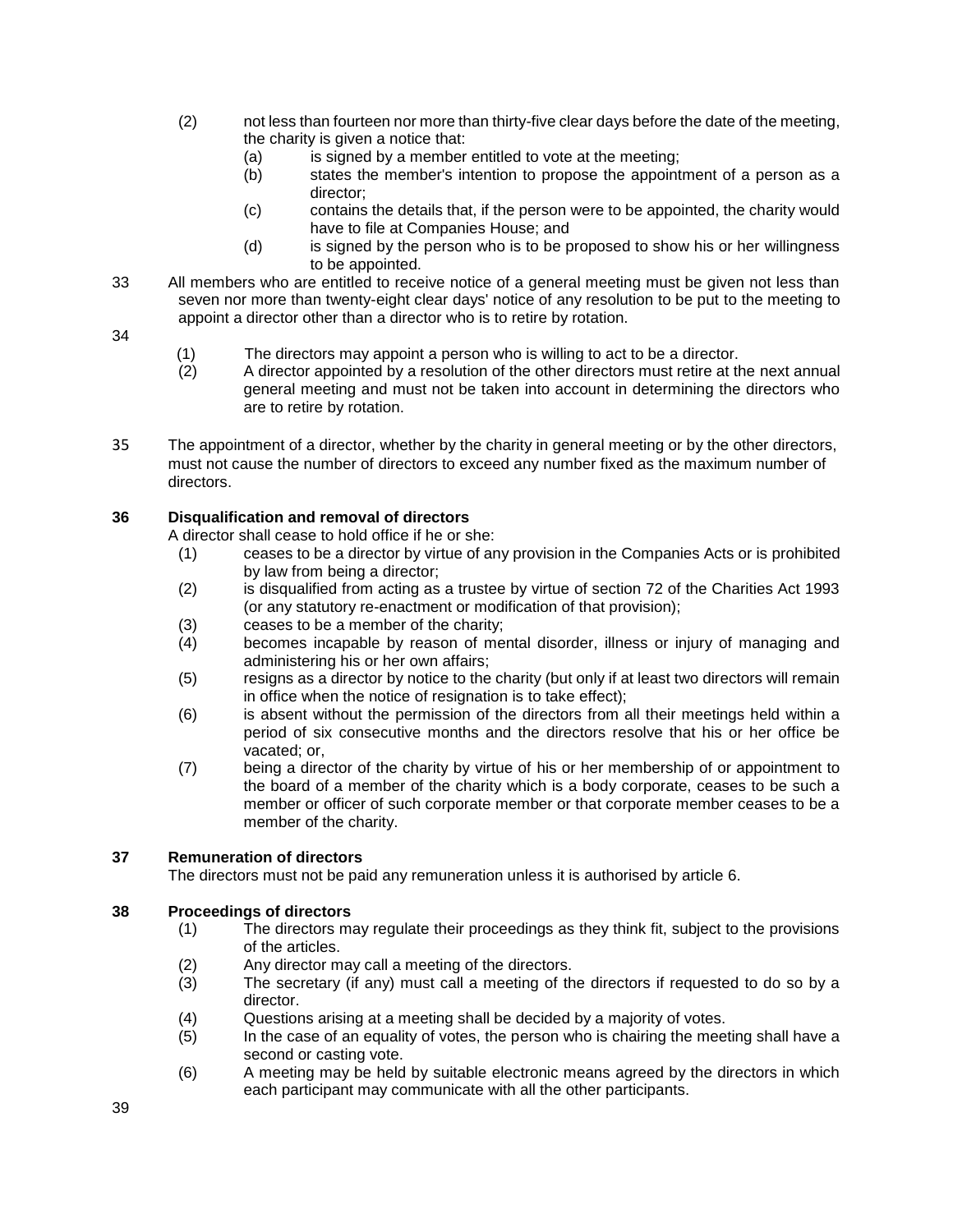- (2) not less than fourteen nor more than thirty-five clear days before the date of the meeting, the charity is given a notice that:
	- (a) is signed by a member entitled to vote at the meeting;
	- (b) states the member's intention to propose the appointment of a person as a director;
	- (c) contains the details that, if the person were to be appointed, the charity would have to file at Companies House; and
	- (d) is signed by the person who is to be proposed to show his or her willingness to be appointed.
- 33 All members who are entitled to receive notice of a general meeting must be given not less than seven nor more than twenty-eight clear days' notice of any resolution to be put to the meeting to appoint a director other than a director who is to retire by rotation.
- 34
- (1) The directors may appoint a person who is willing to act to be a director.<br>(2) A director appointed by a resolution of the other directors must retire at the
- A director appointed by a resolution of the other directors must retire at the next annual general meeting and must not be taken into account in determining the directors who are to retire by rotation.
- 35 The appointment of a director, whether by the charity in general meeting or by the other directors, must not cause the number of directors to exceed any number fixed as the maximum number of directors.

## **36 Disqualification and removal of directors**

A director shall cease to hold office if he or she:

- (1) ceases to be a director by virtue of any provision in the Companies Acts or is prohibited by law from being a director;
- (2) is disqualified from acting as a trustee by virtue of section 72 of the Charities Act 1993 (or any statutory re-enactment or modification of that provision);
- (3) ceases to be a member of the charity;
- (4) becomes incapable by reason of mental disorder, illness or injury of managing and administering his or her own affairs;
- (5) resigns as a director by notice to the charity (but only if at least two directors will remain in office when the notice of resignation is to take effect);
- (6) is absent without the permission of the directors from all their meetings held within a period of six consecutive months and the directors resolve that his or her office be vacated; or,
- (7) being a director of the charity by virtue of his or her membership of or appointment to the board of a member of the charity which is a body corporate, ceases to be such a member or officer of such corporate member or that corporate member ceases to be a member of the charity.

## **37 Remuneration of directors**

The directors must not be paid any remuneration unless it is authorised by article 6.

## **38 Proceedings of directors**

- (1) The directors may regulate their proceedings as they think fit, subject to the provisions of the articles.
- (2) Any director may call a meeting of the directors.
- (3) The secretary (if any) must call a meeting of the directors if requested to do so by a director.
- (4) Questions arising at a meeting shall be decided by a majority of votes.
- (5) In the case of an equality of votes, the person who is chairing the meeting shall have a second or casting vote.
- (6) A meeting may be held by suitable electronic means agreed by the directors in which each participant may communicate with all the other participants.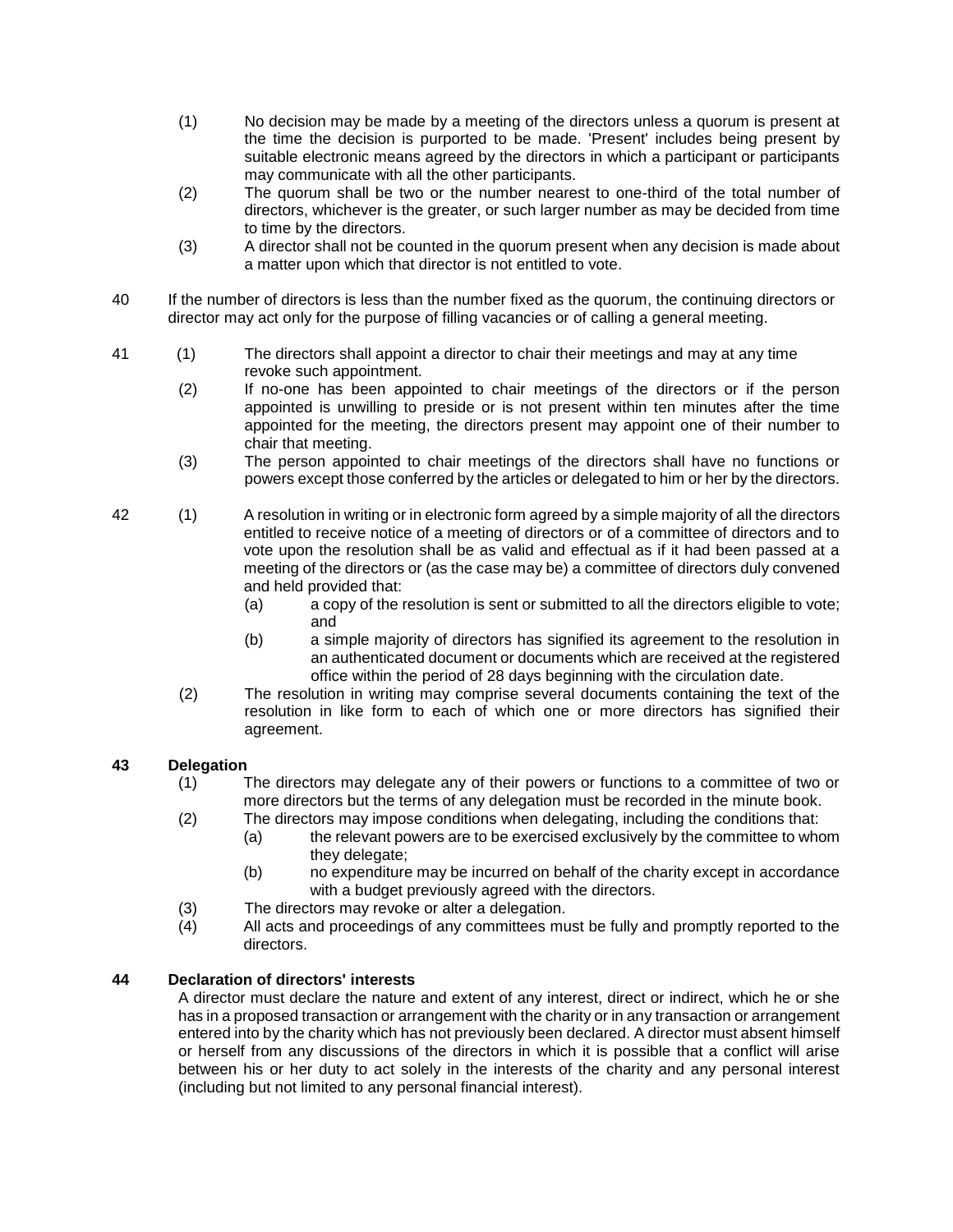- (1) No decision may be made by a meeting of the directors unless a quorum is present at the time the decision is purported to be made. 'Present' includes being present by suitable electronic means agreed by the directors in which a participant or participants may communicate with all the other participants.
- (2) The quorum shall be two or the number nearest to one-third of the total number of directors, whichever is the greater, or such larger number as may be decided from time to time by the directors.
- (3) A director shall not be counted in the quorum present when any decision is made about a matter upon which that director is not entitled to vote.
- 40 If the number of directors is less than the number fixed as the quorum, the continuing directors or director may act only for the purpose of filling vacancies or of calling a general meeting.
- 41 (1) The directors shall appoint a director to chair their meetings and may at any time revoke such appointment.
	- (2) If no-one has been appointed to chair meetings of the directors or if the person appointed is unwilling to preside or is not present within ten minutes after the time appointed for the meeting, the directors present may appoint one of their number to chair that meeting.
	- (3) The person appointed to chair meetings of the directors shall have no functions or powers except those conferred by the articles or delegated to him or her by the directors.
- 42 (1) A resolution in writing or in electronic form agreed by a simple majority of all the directors entitled to receive notice of a meeting of directors or of a committee of directors and to vote upon the resolution shall be as valid and effectual as if it had been passed at a meeting of the directors or (as the case may be) a committee of directors duly convened and held provided that:
	- (a) a copy of the resolution is sent or submitted to all the directors eligible to vote; and
	- (b) a simple majority of directors has signified its agreement to the resolution in an authenticated document or documents which are received at the registered office within the period of 28 days beginning with the circulation date.
	- (2) The resolution in writing may comprise several documents containing the text of the resolution in like form to each of which one or more directors has signified their agreement.

## **43 Delegation**

- (1) The directors may delegate any of their powers or functions to a committee of two or more directors but the terms of any delegation must be recorded in the minute book.
- (2) The directors may impose conditions when delegating, including the conditions that: (a) the relevant powers are to be exercised exclusively by the committee to whom
	- they delegate;
	- (b) no expenditure may be incurred on behalf of the charity except in accordance with a budget previously agreed with the directors.
- (3) The directors may revoke or alter a delegation.<br>(4) All acts and proceedings of any committees mu
- All acts and proceedings of any committees must be fully and promptly reported to the directors.

## **44 Declaration of directors' interests**

A director must declare the nature and extent of any interest, direct or indirect, which he or she has in a proposed transaction or arrangement with the charity or in any transaction or arrangement entered into by the charity which has not previously been declared. A director must absent himself or herself from any discussions of the directors in which it is possible that a conflict will arise between his or her duty to act solely in the interests of the charity and any personal interest (including but not limited to any personal financial interest).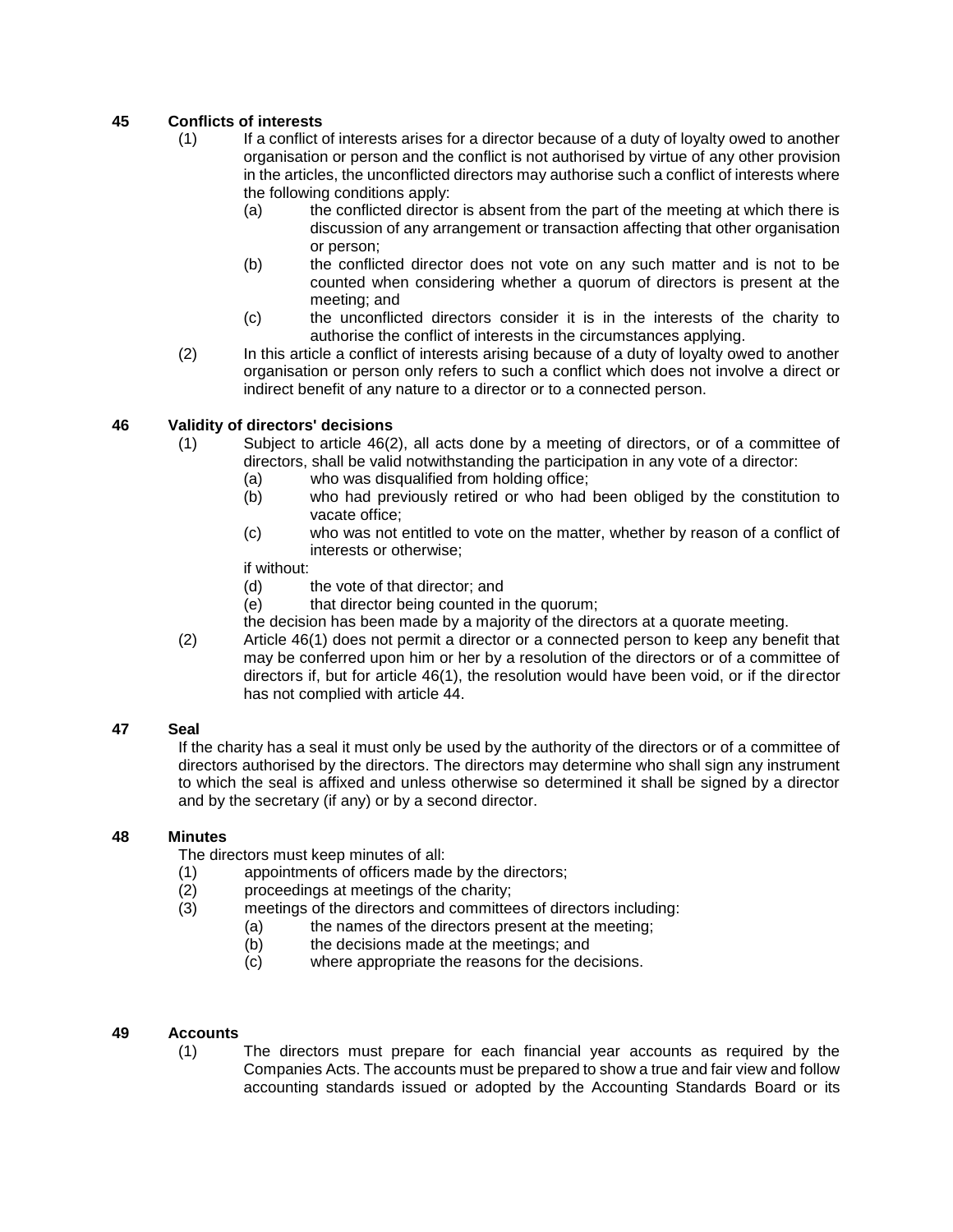# **45 Conflicts of interests**

- (1) If a conflict of interests arises for a director because of a duty of loyalty owed to another organisation or person and the conflict is not authorised by virtue of any other provision in the articles, the unconflicted directors may authorise such a conflict of interests where the following conditions apply:
	- (a) the conflicted director is absent from the part of the meeting at which there is discussion of any arrangement or transaction affecting that other organisation or person;
	- (b) the conflicted director does not vote on any such matter and is not to be counted when considering whether a quorum of directors is present at the meeting; and
	- (c) the unconflicted directors consider it is in the interests of the charity to authorise the conflict of interests in the circumstances applying.
- (2) In this article a conflict of interests arising because of a duty of loyalty owed to another organisation or person only refers to such a conflict which does not involve a direct or indirect benefit of any nature to a director or to a connected person.

## **46 Validity of directors' decisions**

- (1) Subject to article 46(2), all acts done by a meeting of directors, or of a committee of directors, shall be valid notwithstanding the participation in any vote of a director:
	- (a) who was disqualified from holding office;
	- (b) who had previously retired or who had been obliged by the constitution to vacate office;
	- (c) who was not entitled to vote on the matter, whether by reason of a conflict of interests or otherwise;
	- if without:
	- (d) the vote of that director; and
	- (e) that director being counted in the quorum;
	- the decision has been made by a majority of the directors at a quorate meeting.
- (2) Article 46(1) does not permit a director or a connected person to keep any benefit that may be conferred upon him or her by a resolution of the directors or of a committee of directors if, but for article 46(1), the resolution would have been void, or if the director has not complied with article 44.

#### **47 Seal**

If the charity has a seal it must only be used by the authority of the directors or of a committee of directors authorised by the directors. The directors may determine who shall sign any instrument to which the seal is affixed and unless otherwise so determined it shall be signed by a director and by the secretary (if any) or by a second director.

#### **48 Minutes**

The directors must keep minutes of all:

- (1) appointments of officers made by the directors;
- (2) proceedings at meetings of the charity;
- (3) meetings of the directors and committees of directors including:
	- (a) the names of the directors present at the meeting;
	- (b) the decisions made at the meetings; and
	- (c) where appropriate the reasons for the decisions.

#### **49 Accounts**

(1) The directors must prepare for each financial year accounts as required by the Companies Acts. The accounts must be prepared to show a true and fair view and follow accounting standards issued or adopted by the Accounting Standards Board or its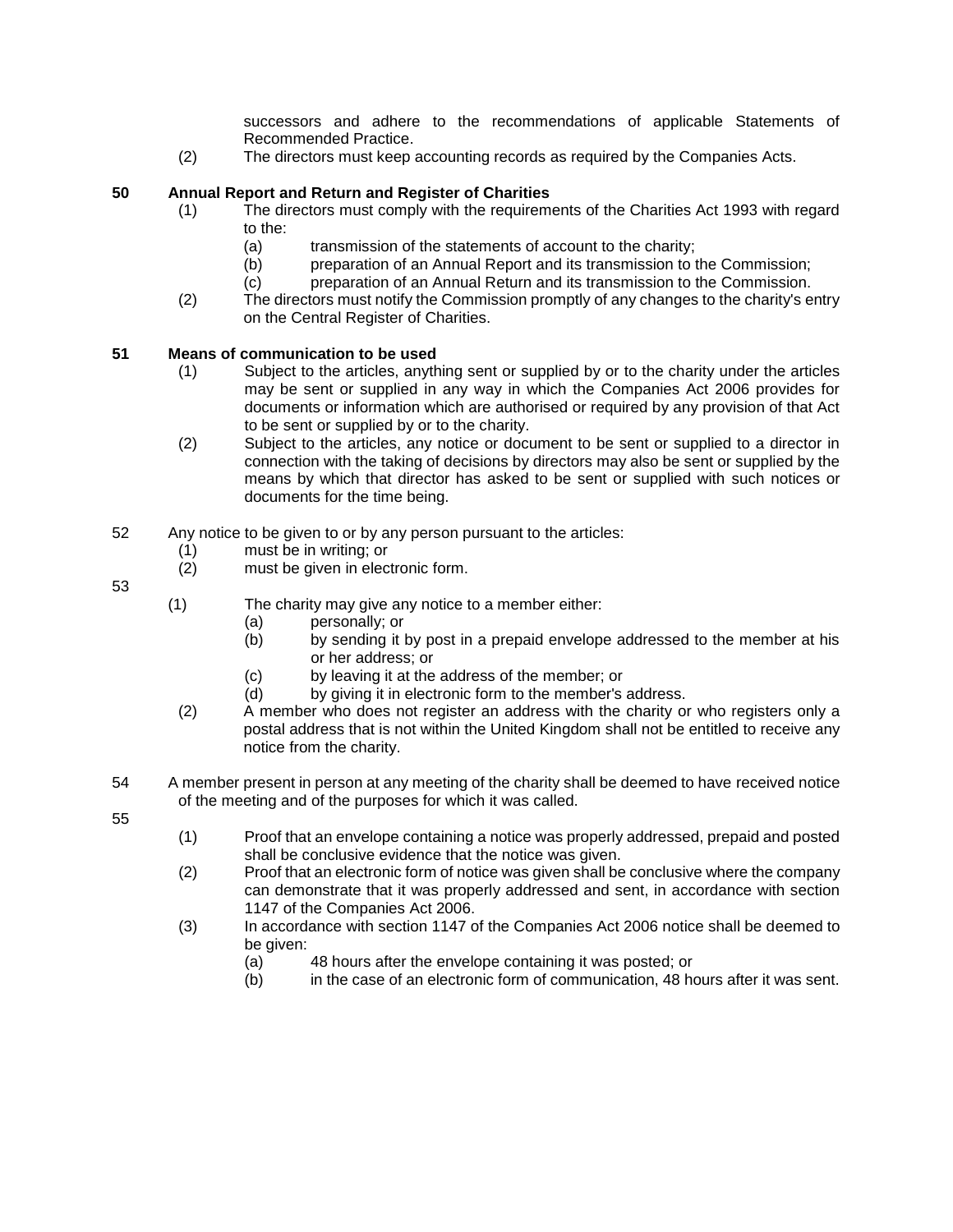successors and adhere to the recommendations of applicable Statements of Recommended Practice.

(2) The directors must keep accounting records as required by the Companies Acts.

#### **50 Annual Report and Return and Register of Charities**

- (1) The directors must comply with the requirements of the Charities Act 1993 with regard to the:
	- (a) transmission of the statements of account to the charity;
	- (b) preparation of an Annual Report and its transmission to the Commission;
	- (c) preparation of an Annual Return and its transmission to the Commission.
- (2) The directors must notify the Commission promptly of any changes to the charity's entry on the Central Register of Charities.

#### **51 Means of communication to be used**

- (1) Subject to the articles, anything sent or supplied by or to the charity under the articles may be sent or supplied in any way in which the Companies Act 2006 provides for documents or information which are authorised or required by any provision of that Act to be sent or supplied by or to the charity.
- (2) Subject to the articles, any notice or document to be sent or supplied to a director in connection with the taking of decisions by directors may also be sent or supplied by the means by which that director has asked to be sent or supplied with such notices or documents for the time being.
- 52 Any notice to be given to or by any person pursuant to the articles:
	- (1) must be in writing; or
	- (2) must be given in electronic form.

53

- (1) The charity may give any notice to a member either:
	- (a) personally; or
	- (b) by sending it by post in a prepaid envelope addressed to the member at his or her address; or
	- (c) by leaving it at the address of the member; or
	- (d) by giving it in electronic form to the member's address.
- (2) A member who does not register an address with the charity or who registers only a postal address that is not within the United Kingdom shall not be entitled to receive any notice from the charity.
- 54 A member present in person at any meeting of the charity shall be deemed to have received notice of the meeting and of the purposes for which it was called.

55

- (1) Proof that an envelope containing a notice was properly addressed, prepaid and posted shall be conclusive evidence that the notice was given.
- (2) Proof that an electronic form of notice was given shall be conclusive where the company can demonstrate that it was properly addressed and sent, in accordance with section 1147 of the Companies Act 2006.
- (3) In accordance with section 1147 of the Companies Act 2006 notice shall be deemed to be given:
	- (a) 48 hours after the envelope containing it was posted; or
	- (b) in the case of an electronic form of communication, 48 hours after it was sent.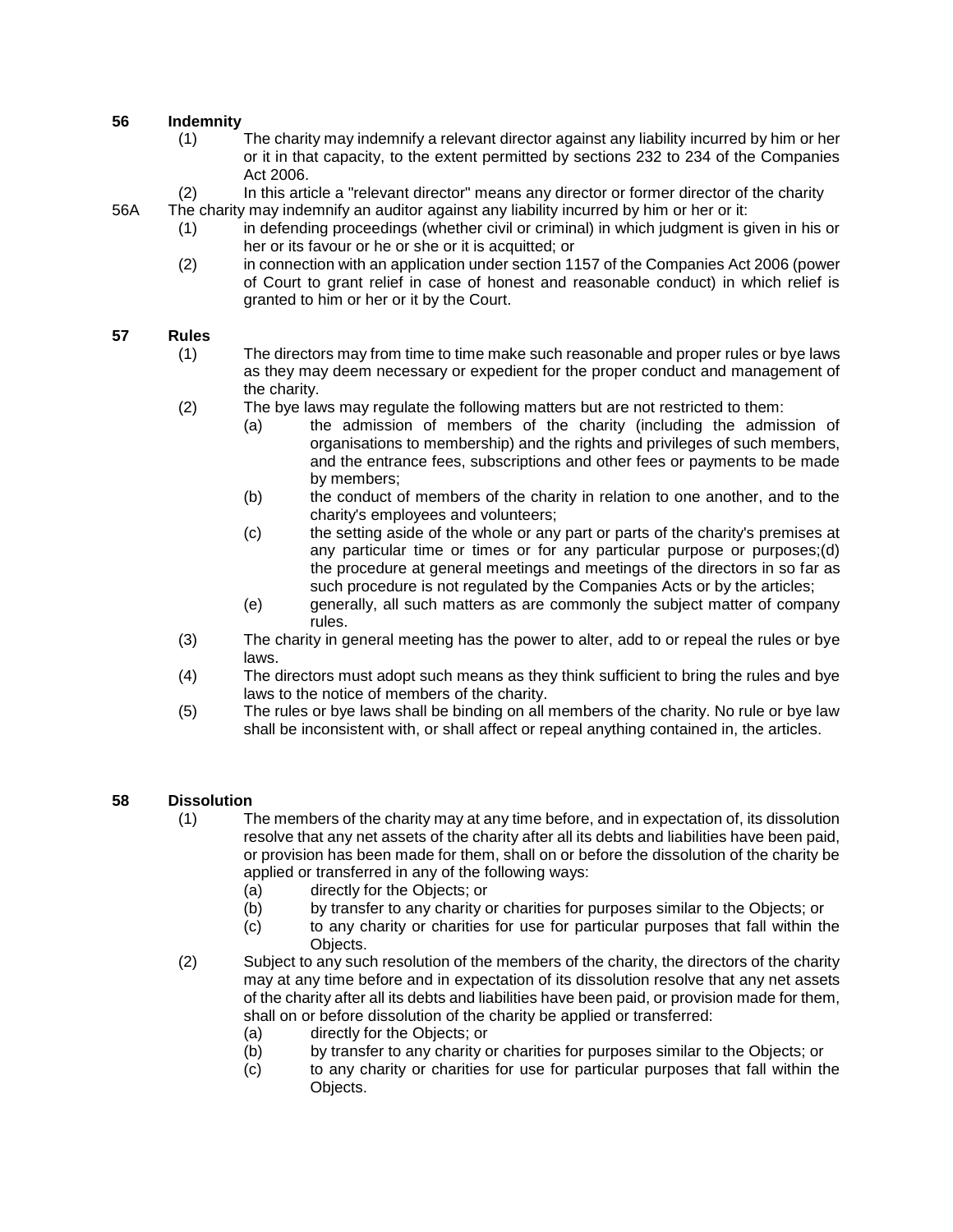#### **56 Indemnity**

- (1) The charity may indemnify a relevant director against any liability incurred by him or her or it in that capacity, to the extent permitted by sections 232 to 234 of the Companies Act 2006.
- (2) In this article a "relevant director" means any director or former director of the charity
- 56A The charity may indemnify an auditor against any liability incurred by him or her or it:
	- (1) in defending proceedings (whether civil or criminal) in which judgment is given in his or her or its favour or he or she or it is acquitted; or
	- (2) in connection with an application under section 1157 of the Companies Act 2006 (power of Court to grant relief in case of honest and reasonable conduct) in which relief is granted to him or her or it by the Court.

#### **57 Rules**

- (1) The directors may from time to time make such reasonable and proper rules or bye laws as they may deem necessary or expedient for the proper conduct and management of the charity.
- (2) The bye laws may regulate the following matters but are not restricted to them:
	- (a) the admission of members of the charity (including the admission of organisations to membership) and the rights and privileges of such members, and the entrance fees, subscriptions and other fees or payments to be made by members;
	- (b) the conduct of members of the charity in relation to one another, and to the charity's employees and volunteers;
	- (c) the setting aside of the whole or any part or parts of the charity's premises at any particular time or times or for any particular purpose or purposes;(d) the procedure at general meetings and meetings of the directors in so far as such procedure is not regulated by the Companies Acts or by the articles;
	- (e) generally, all such matters as are commonly the subject matter of company rules.
- (3) The charity in general meeting has the power to alter, add to or repeal the rules or bye laws.
- (4) The directors must adopt such means as they think sufficient to bring the rules and bye laws to the notice of members of the charity.
- (5) The rules or bye laws shall be binding on all members of the charity. No rule or bye law shall be inconsistent with, or shall affect or repeal anything contained in, the articles.

#### **58 Dissolution**

- (1) The members of the charity may at any time before, and in expectation of, its dissolution resolve that any net assets of the charity after all its debts and liabilities have been paid, or provision has been made for them, shall on or before the dissolution of the charity be applied or transferred in any of the following ways:
	- (a) directly for the Objects; or
	- (b) by transfer to any charity or charities for purposes similar to the Objects; or
	- (c) to any charity or charities for use for particular purposes that fall within the Objects.
- (2) Subject to any such resolution of the members of the charity, the directors of the charity may at any time before and in expectation of its dissolution resolve that any net assets of the charity after all its debts and liabilities have been paid, or provision made for them, shall on or before dissolution of the charity be applied or transferred:
	- (a) directly for the Objects; or
	- (b) by transfer to any charity or charities for purposes similar to the Objects; or
	- (c) to any charity or charities for use for particular purposes that fall within the Objects.